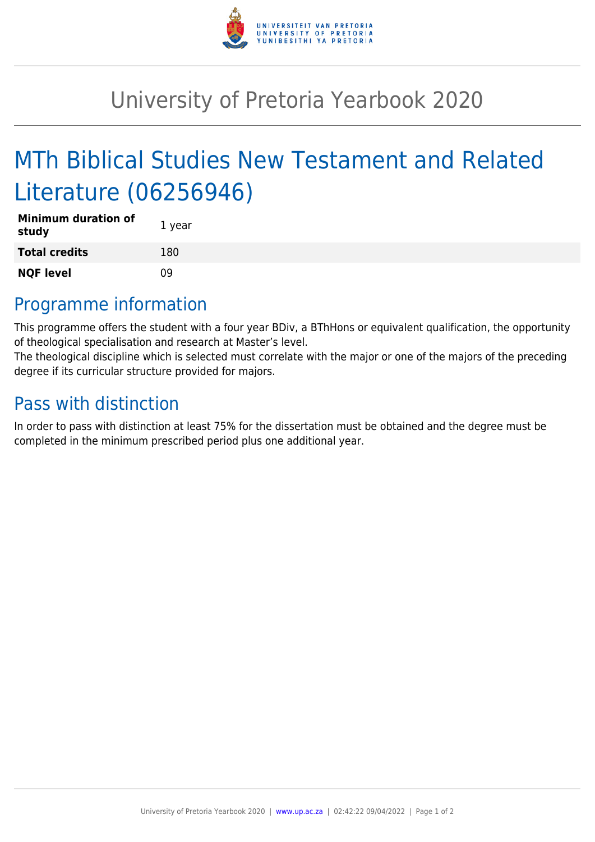

## University of Pretoria Yearbook 2020

# MTh Biblical Studies New Testament and Related Literature (06256946)

| <b>Minimum duration of</b><br>study | 1 year |
|-------------------------------------|--------|
| <b>Total credits</b>                | 180    |
| <b>NQF level</b>                    | n۹     |

### Programme information

This programme offers the student with a four year BDiv, a BThHons or equivalent qualification, the opportunity of theological specialisation and research at Master's level.

The theological discipline which is selected must correlate with the major or one of the majors of the preceding degree if its curricular structure provided for majors.

#### Pass with distinction

In order to pass with distinction at least 75% for the dissertation must be obtained and the degree must be completed in the minimum prescribed period plus one additional year.